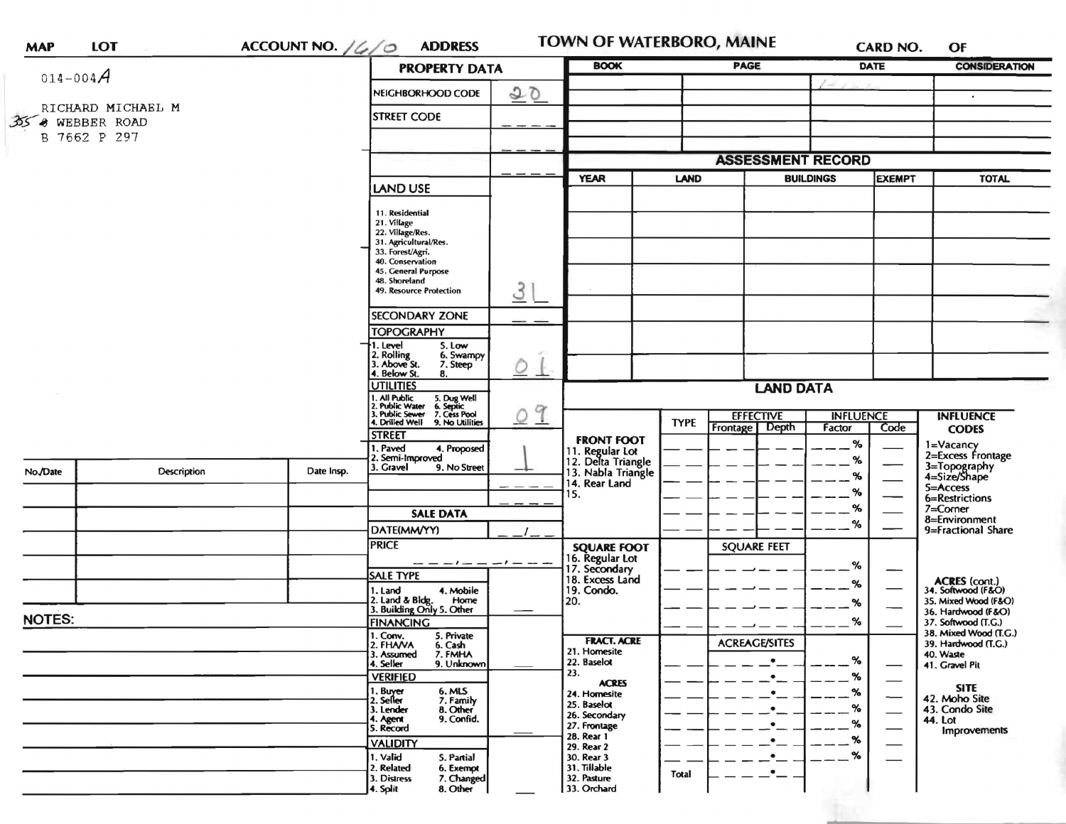| $014 - 004A$      |                    |                                                                                                                                            | <b>PROPERTY DATA</b>                                                                                                                                                                   |                  | <b>BOOK</b>                                                 | <b>PAGE</b>                                      |                            | DATE   |                                  | <b>CONSIDERATION</b>                         |
|-------------------|--------------------|--------------------------------------------------------------------------------------------------------------------------------------------|----------------------------------------------------------------------------------------------------------------------------------------------------------------------------------------|------------------|-------------------------------------------------------------|--------------------------------------------------|----------------------------|--------|----------------------------------|----------------------------------------------|
|                   |                    |                                                                                                                                            | NEIGHBORHOOD CODE                                                                                                                                                                      | 20               |                                                             |                                                  |                            |        |                                  | $\bullet$                                    |
| 355 & WEBBER ROAD | RICHARD MICHAEL M  |                                                                                                                                            | <b>STREET CODE</b>                                                                                                                                                                     |                  |                                                             |                                                  |                            |        |                                  |                                              |
| B 7662 P 297      |                    |                                                                                                                                            |                                                                                                                                                                                        |                  |                                                             |                                                  |                            |        |                                  |                                              |
|                   |                    |                                                                                                                                            |                                                                                                                                                                                        |                  | <b>ASSESSMENT RECORD</b>                                    |                                                  |                            |        |                                  |                                              |
|                   |                    |                                                                                                                                            | <b>YEAR</b>                                                                                                                                                                            |                  |                                                             | <b>EXEMPT</b><br><b>LAND</b><br><b>BUILDINGS</b> |                            |        |                                  | <b>TOTAL</b>                                 |
|                   |                    |                                                                                                                                            | <b>LAND USE</b>                                                                                                                                                                        |                  |                                                             |                                                  |                            |        |                                  |                                              |
|                   |                    |                                                                                                                                            | 11. Residential<br>21. Village<br>22. Village/Res.<br>31. Agricultural/Res.<br>33. Forest/Agri.<br>40. Conservation<br>45. General Purpose<br>48. Shoreland<br>49. Resource Protection | 3                |                                                             |                                                  |                            |        |                                  |                                              |
|                   |                    |                                                                                                                                            | <b>SECONDARY ZONE</b>                                                                                                                                                                  |                  |                                                             |                                                  |                            |        |                                  |                                              |
|                   |                    |                                                                                                                                            | <b>TOPOGRAPHY</b>                                                                                                                                                                      |                  |                                                             |                                                  |                            |        |                                  |                                              |
|                   |                    |                                                                                                                                            | 1. Level<br>5. Low<br>2. Rolling<br>3. Above St.<br>6. Swampy<br>7. Steep                                                                                                              |                  |                                                             |                                                  |                            |        |                                  |                                              |
|                   |                    |                                                                                                                                            | 4. Below St.<br>8.<br><b>UTILITIES</b>                                                                                                                                                 | <b>LAND DATA</b> |                                                             |                                                  |                            |        |                                  |                                              |
|                   |                    | 1. All Public<br>2. Public Water<br>5. Dug Well<br>6. Septic<br>7. Cess Pool<br>9. No Utilities<br>9<br>3. Public Sewer<br>4. Drilled Well |                                                                                                                                                                                        |                  | <b>EFFECTIVE</b><br><b>TYPE</b><br>Depth<br>Frontage        |                                                  | <b>INFLUENCE</b><br>Factor | Code   | <b>INFLUENCE</b><br><b>CODES</b> |                                              |
|                   |                    |                                                                                                                                            | <b>STREET</b><br>1. Paved<br>4. Proposed                                                                                                                                               |                  | <b>FRONT FOOT</b>                                           |                                                  |                            | %      |                                  | 1=Vacancy                                    |
| No./Date          |                    |                                                                                                                                            | 2. Semi-Improved<br>9. No Street<br>3. Gravel                                                                                                                                          |                  | 11. Regular Lot<br>12. Delta Triangle<br>13. Nabla Triangle |                                                  |                            | %      |                                  | 2=Excess Frontage                            |
|                   | <b>Description</b> | Date Insp.                                                                                                                                 |                                                                                                                                                                                        |                  | 14. Rear Land                                               |                                                  |                            | %      |                                  | 3=Topography<br>4=Size/Shape<br>5=Access     |
|                   |                    |                                                                                                                                            |                                                                                                                                                                                        |                  | 15.                                                         |                                                  |                            | %<br>% |                                  | 6=Restrictions<br>$7 =$ Corner               |
|                   |                    |                                                                                                                                            | <b>SALE DATA</b>                                                                                                                                                                       |                  |                                                             |                                                  |                            | %      |                                  | 8=Environment                                |
|                   |                    |                                                                                                                                            | DATE(MM/YY)<br><b>PRICE</b>                                                                                                                                                            |                  | <b>SQUARE FOOT</b>                                          |                                                  | <b>SQUARE FEET</b>         |        |                                  | 9=Fractional Share                           |
|                   |                    |                                                                                                                                            | $-1 - - -1 - -$                                                                                                                                                                        |                  |                                                             |                                                  |                            | %      |                                  |                                              |
|                   |                    |                                                                                                                                            | <b>SALE TYPE</b>                                                                                                                                                                       |                  | 16. Regular Lot<br>17. Secondary<br>18. Excess Land         |                                                  |                            | %      |                                  | ACRES (cont.)<br>34. Softwood (F&O)          |
|                   |                    |                                                                                                                                            | 4. Mobile<br>1. Land<br>2. Land & Bldg. Home<br>3. Building Only 5. Other<br>Home                                                                                                      |                  | 19. Condo.<br>20.                                           |                                                  |                            | %      |                                  | 35. Mixed Wood (F&O)                         |
| <b>NOTES:</b>     |                    |                                                                                                                                            | <b>FINANCING</b>                                                                                                                                                                       |                  |                                                             |                                                  |                            | %      |                                  | 36. Hardwood (F&O)<br>37. Softwood (T.G.)    |
|                   |                    |                                                                                                                                            | 1. Conv.<br>5. Private                                                                                                                                                                 |                  | <b>FRACT. ACRE</b>                                          |                                                  | <b>ACREAGE/SITES</b>       |        |                                  | 38. Mixed Wood (T.G.)<br>39. Hardwood (T.G.) |
|                   |                    |                                                                                                                                            | 2. FHA/VA<br>6. Cash<br>7. FMHA<br>3. Assumed                                                                                                                                          |                  | 21. Homesite<br>22. Baselot                                 |                                                  |                            | ℅      |                                  | 40. Waste                                    |
|                   |                    |                                                                                                                                            | 4. Seller<br>9. Unknown<br><b>VERIFIED</b>                                                                                                                                             |                  | 23.                                                         |                                                  |                            | %      |                                  | 41. Gravel Pit                               |
|                   |                    |                                                                                                                                            | 1. Buyer<br>2. Seller<br>6. MLS<br>7. Family                                                                                                                                           |                  | <b>ACRES</b><br>24. Homesite                                |                                                  |                            | %      |                                  | <b>SITE</b><br>42. Moho Site                 |
|                   |                    |                                                                                                                                            | 8. Other<br>3. Lender<br>9. Confid.                                                                                                                                                    |                  | 25. Baselot<br>26. Secondary                                |                                                  |                            | $\%$   |                                  | 43. Condo Site                               |
|                   |                    |                                                                                                                                            | 4. Agent<br>5. Record                                                                                                                                                                  |                  | 27. Frontage<br>28. Rear 1                                  |                                                  |                            | $\%$   |                                  | 44. Lot<br>Improvements                      |
|                   |                    |                                                                                                                                            | <b>VALIDITY</b>                                                                                                                                                                        |                  | 29. Rear 2                                                  |                                                  |                            | %      |                                  |                                              |
|                   |                    |                                                                                                                                            | 1. Valid<br>5. Partial<br>2. Related<br>6. Exempt                                                                                                                                      |                  | 30. Rear 3<br>31. Tillable                                  |                                                  |                            | %      |                                  |                                              |
|                   |                    |                                                                                                                                            | 7. Changed<br>3. Distress<br>8. Other                                                                                                                                                  |                  | 32. Pasture<br>33. Orchard                                  | Total                                            |                            |        |                                  |                                              |